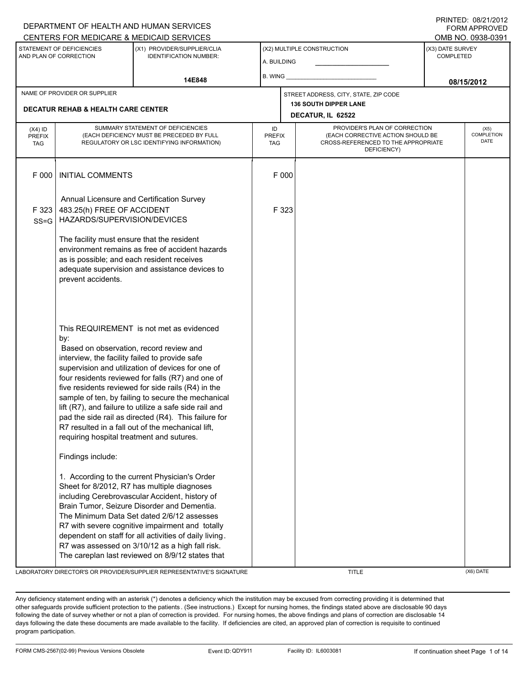|                                                                                                                               | DEPARTMENT OF HEALTH AND HUMAN SERVICES<br><b>FORM APPROVED</b><br>CENTERS FOR MEDICARE & MEDICAID SERVICES<br>OMB NO. 0938-0391                                                                                                                                                                                                                                                                                                                                                                                                                                                                                                                                                                                                                                                                                                                                                                                                                                                                                                                                               |  |                                           |                                                   |                                                                                                                          |            |                                      |  |  |  |  |
|-------------------------------------------------------------------------------------------------------------------------------|--------------------------------------------------------------------------------------------------------------------------------------------------------------------------------------------------------------------------------------------------------------------------------------------------------------------------------------------------------------------------------------------------------------------------------------------------------------------------------------------------------------------------------------------------------------------------------------------------------------------------------------------------------------------------------------------------------------------------------------------------------------------------------------------------------------------------------------------------------------------------------------------------------------------------------------------------------------------------------------------------------------------------------------------------------------------------------|--|-------------------------------------------|---------------------------------------------------|--------------------------------------------------------------------------------------------------------------------------|------------|--------------------------------------|--|--|--|--|
| STATEMENT OF DEFICIENCIES<br>(X1) PROVIDER/SUPPLIER/CLIA<br>AND PLAN OF CORRECTION<br><b>IDENTIFICATION NUMBER:</b><br>14E848 |                                                                                                                                                                                                                                                                                                                                                                                                                                                                                                                                                                                                                                                                                                                                                                                                                                                                                                                                                                                                                                                                                |  | (X2) MULTIPLE CONSTRUCTION<br>A. BUILDING |                                                   |                                                                                                                          |            | (X3) DATE SURVEY<br><b>COMPLETED</b> |  |  |  |  |
|                                                                                                                               |                                                                                                                                                                                                                                                                                                                                                                                                                                                                                                                                                                                                                                                                                                                                                                                                                                                                                                                                                                                                                                                                                |  | B. WING                                   |                                                   |                                                                                                                          | 08/15/2012 |                                      |  |  |  |  |
| NAME OF PROVIDER OR SUPPLIER                                                                                                  |                                                                                                                                                                                                                                                                                                                                                                                                                                                                                                                                                                                                                                                                                                                                                                                                                                                                                                                                                                                                                                                                                |  |                                           |                                                   | STREET ADDRESS, CITY, STATE, ZIP CODE                                                                                    |            |                                      |  |  |  |  |
| <b>DECATUR REHAB &amp; HEALTH CARE CENTER</b>                                                                                 |                                                                                                                                                                                                                                                                                                                                                                                                                                                                                                                                                                                                                                                                                                                                                                                                                                                                                                                                                                                                                                                                                |  |                                           | <b>136 SOUTH DIPPER LANE</b><br>DECATUR, IL 62522 |                                                                                                                          |            |                                      |  |  |  |  |
| $(X4)$ ID<br><b>PREFIX</b><br><b>TAG</b>                                                                                      | SUMMARY STATEMENT OF DEFICIENCIES<br>(EACH DEFICIENCY MUST BE PRECEDED BY FULL<br>REGULATORY OR LSC IDENTIFYING INFORMATION)                                                                                                                                                                                                                                                                                                                                                                                                                                                                                                                                                                                                                                                                                                                                                                                                                                                                                                                                                   |  | ID<br><b>PREFIX</b><br><b>TAG</b>         |                                                   | PROVIDER'S PLAN OF CORRECTION<br>(EACH CORRECTIVE ACTION SHOULD BE<br>CROSS-REFERENCED TO THE APPROPRIATE<br>DEFICIENCY) |            | (X5)<br>COMPLETION<br><b>DATE</b>    |  |  |  |  |
| F 000                                                                                                                         | <b>INITIAL COMMENTS</b>                                                                                                                                                                                                                                                                                                                                                                                                                                                                                                                                                                                                                                                                                                                                                                                                                                                                                                                                                                                                                                                        |  |                                           | F 000                                             |                                                                                                                          |            |                                      |  |  |  |  |
| F 323<br>$SS = G$                                                                                                             | Annual Licensure and Certification Survey<br>483.25(h) FREE OF ACCIDENT<br>HAZARDS/SUPERVISION/DEVICES                                                                                                                                                                                                                                                                                                                                                                                                                                                                                                                                                                                                                                                                                                                                                                                                                                                                                                                                                                         |  |                                           | F 323                                             |                                                                                                                          |            |                                      |  |  |  |  |
|                                                                                                                               | The facility must ensure that the resident<br>environment remains as free of accident hazards<br>as is possible; and each resident receives<br>adequate supervision and assistance devices to<br>prevent accidents.                                                                                                                                                                                                                                                                                                                                                                                                                                                                                                                                                                                                                                                                                                                                                                                                                                                            |  |                                           |                                                   |                                                                                                                          |            |                                      |  |  |  |  |
|                                                                                                                               | This REQUIREMENT is not met as evidenced<br>by:<br>Based on observation, record review and<br>interview, the facility failed to provide safe<br>supervision and utilization of devices for one of<br>four residents reviewed for falls (R7) and one of<br>five residents reviewed for side rails (R4) in the<br>sample of ten, by failing to secure the mechanical<br>lift (R7), and failure to utilize a safe side rail and<br>pad the side rail as directed (R4). This failure for<br>R7 resulted in a fall out of the mechanical lift,<br>requiring hospital treatment and sutures.<br>Findings include:<br>1. According to the current Physician's Order<br>Sheet for 8/2012, R7 has multiple diagnoses<br>including Cerebrovascular Accident, history of<br>Brain Tumor, Seizure Disorder and Dementia.<br>The Minimum Data Set dated 2/6/12 assesses<br>R7 with severe cognitive impairment and totally<br>dependent on staff for all activities of daily living.<br>R7 was assessed on 3/10/12 as a high fall risk.<br>The careplan last reviewed on 8/9/12 states that |  |                                           |                                                   |                                                                                                                          |            |                                      |  |  |  |  |

LABORATORY DIRECTOR'S OR PROVIDER/SUPPLIER REPRESENTATIVE'S SIGNATURE TITLE THE TITLE (X6) DATE

DEPARTMENT OF HEALTH AND HUMAN SERVICES

PRINTED: 08/21/2012

Any deficiency statement ending with an asterisk (\*) denotes a deficiency which the institution may be excused from correcting providing it is determined that other safeguards provide sufficient protection to the patients . (See instructions.) Except for nursing homes, the findings stated above are disclosable 90 days following the date of survey whether or not a plan of correction is provided. For nursing homes, the above findings and plans of correction are disclosable 14 days following the date these documents are made available to the facility. If deficiencies are cited, an approved plan of correction is requisite to continued program participation.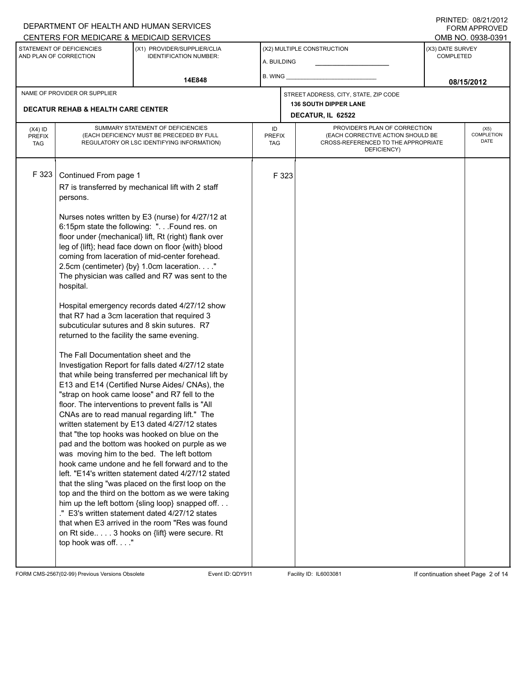### A. BUILDING (X1) PROVIDER/SUPPLIER/CLIA IDENTIFICATION NUMBER: STATEMENT OF DEFICIENCIES AND PLAN OF CORRECTION (X3) DATE SURVEY COMPLETED FORM APPROVED (X2) MULTIPLE CONSTRUCTION B. WING CENTERS FOR MEDICARE & MEDICAID SERVICES **And CENTERS FOR MEDICAL ACCESS** OMB NO. 0938-0391 14E848 **14E848 14E848 14E848 14E848 14E848 14E848 08/15/2012 DECATUR, IL 62522** NAME OF PROVIDER OR SUPPLIER STREET ADDRESS, CITY, STATE, ZIP CODE **DECATUR REHAB & HEALTH CARE CENTER 136 SOUTH DIPPER LANE** PROVIDER'S PLAN OF CORRECTION (EACH CORRECTIVE ACTION SHOULD BE CROSS-REFERENCED TO THE APPROPRIATE DEFICIENCY) (X5) **COMPLETION** DATE ID PREFIX TAG (X4) ID PREFIX TAG SUMMARY STATEMENT OF DEFICIENCIES (EACH DEFICIENCY MUST BE PRECEDED BY FULL REGULATORY OR LSC IDENTIFYING INFORMATION) F 323 Continued From page 1 F 323 R7 is transferred by mechanical lift with 2 staff persons. Nurses notes written by E3 (nurse) for 4/27/12 at 6:15pm state the following: ". . .Found res. on floor under {mechanical} lift, Rt (right) flank over leg of {lift}; head face down on floor {with} blood coming from laceration of mid-center forehead. 2.5cm (centimeter) {by} 1.0cm laceration. . . ." The physician was called and R7 was sent to the hospital. Hospital emergency records dated 4/27/12 show that R7 had a 3cm laceration that required 3 subcuticular sutures and 8 skin sutures. R7 returned to the facility the same evening. The Fall Documentation sheet and the Investigation Report for falls dated 4/27/12 state that while being transferred per mechanical lift by E13 and E14 (Certified Nurse Aides/ CNAs), the "strap on hook came loose" and R7 fell to the floor. The interventions to prevent falls is "All CNAs are to read manual regarding lift." The written statement by E13 dated 4/27/12 states that "the top hooks was hooked on blue on the pad and the bottom was hooked on purple as we was moving him to the bed. The left bottom hook came undone and he fell forward and to the left. "E14's written statement dated 4/27/12 stated that the sling "was placed on the first loop on the top and the third on the bottom as we were taking him up the left bottom {sling loop} snapped off. . . ." E3's written statement dated 4/27/12 states that when E3 arrived in the room "Res was found on Rt side.. . . . 3 hooks on {lift} were secure. Rt top hook was off. . . ."

FORM CMS-2567(02-99) Previous Versions Obsolete Event ID:QDY911 Facility ID: IL6003081 If continuation sheet Page 2 of 14

DEPARTMENT OF HEALTH AND HUMAN SERVICES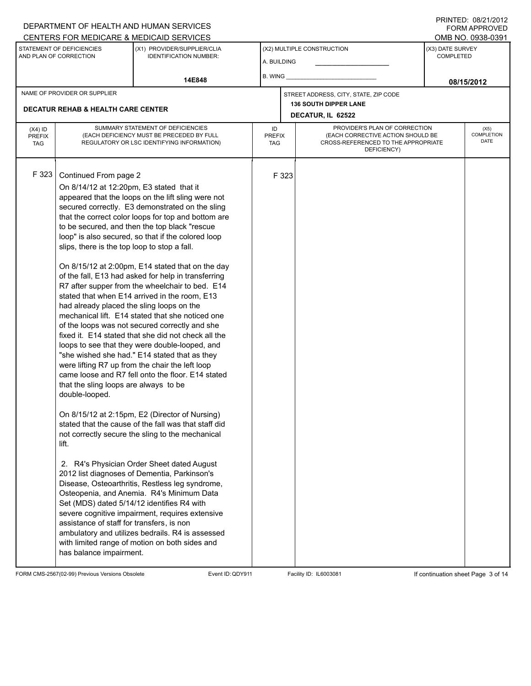### A. BUILDING (X1) PROVIDER/SUPPLIER/CLIA IDENTIFICATION NUMBER: STATEMENT OF DEFICIENCIES AND PLAN OF CORRECTION (X3) DATE SURVEY COMPLETED FORM APPROVED (X2) MULTIPLE CONSTRUCTION B. WING CENTERS FOR MEDICARE & MEDICAID SERVICES **And CENTERS FOR MEDICAL ACCESS** OMB NO. 0938-0391 **14E848 08/15/2012 DECATUR, IL 62522** NAME OF PROVIDER OR SUPPLIER STREET ADDRESS, CITY, STATE, ZIP CODE **DECATUR REHAB & HEALTH CARE CENTER 136 SOUTH DIPPER LANE** PROVIDER'S PLAN OF CORRECTION (EACH CORRECTIVE ACTION SHOULD BE CROSS-REFERENCED TO THE APPROPRIATE DEFICIENCY) (X5) **COMPLETION** DATE ID PREFIX TAG (X4) ID PREFIX TAG SUMMARY STATEMENT OF DEFICIENCIES (EACH DEFICIENCY MUST BE PRECEDED BY FULL REGULATORY OR LSC IDENTIFYING INFORMATION) F 323 Continued From page 2 F 323 On 8/14/12 at 12:20pm, E3 stated that it appeared that the loops on the lift sling were not secured correctly. E3 demonstrated on the sling that the correct color loops for top and bottom are to be secured, and then the top black "rescue loop" is also secured, so that if the colored loop slips, there is the top loop to stop a fall. On 8/15/12 at 2:00pm, E14 stated that on the day of the fall, E13 had asked for help in transferring R7 after supper from the wheelchair to bed. E14 stated that when E14 arrived in the room, E13 had already placed the sling loops on the mechanical lift. E14 stated that she noticed one of the loops was not secured correctly and she fixed it. E14 stated that she did not check all the loops to see that they were double-looped, and "she wished she had." E14 stated that as they were lifting R7 up from the chair the left loop came loose and R7 fell onto the floor. E14 stated that the sling loops are always to be double-looped. On 8/15/12 at 2:15pm, E2 (Director of Nursing) stated that the cause of the fall was that staff did not correctly secure the sling to the mechanical lift. 2. R4's Physician Order Sheet dated August 2012 list diagnoses of Dementia, Parkinson's Disease, Osteoarthritis, Restless leg syndrome, Osteopenia, and Anemia. R4's Minimum Data Set (MDS) dated 5/14/12 identifies R4 with severe cognitive impairment, requires extensive assistance of staff for transfers, is non ambulatory and utilizes bedrails. R4 is assessed with limited range of motion on both sides and has balance impairment.

FORM CMS-2567(02-99) Previous Versions Obsolete Event ID:QDY911 Facility ID: IL6003081 If continuation sheet Page 3 of 14

DEPARTMENT OF HEALTH AND HUMAN SERVICES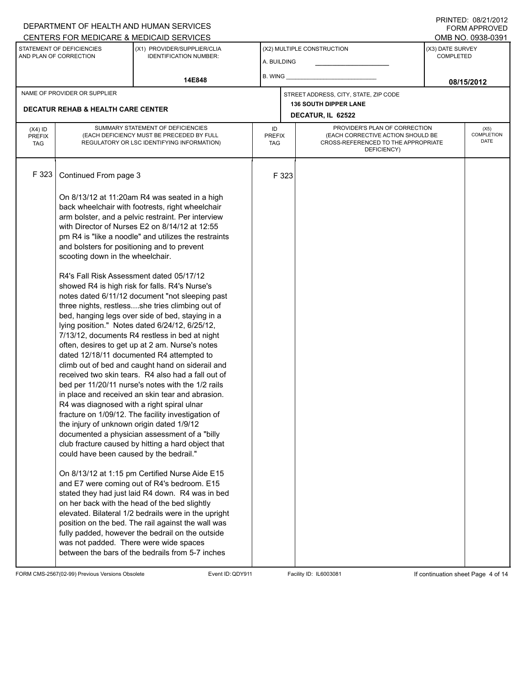### A. BUILDING (X1) PROVIDER/SUPPLIER/CLIA IDENTIFICATION NUMBER: STATEMENT OF DEFICIENCIES AND PLAN OF CORRECTION (X3) DATE SURVEY COMPLETED FORM APPROVED (X2) MULTIPLE CONSTRUCTION B. WING CENTERS FOR MEDICARE & MEDICAID SERVICES **And CENTERS FOR MEDICAL ACCESS** OMB NO. 0938-0391 **14E848 08/15/2012 DECATUR, IL 62522** NAME OF PROVIDER OR SUPPLIER STREET ADDRESS, CITY, STATE, ZIP CODE **DECATUR REHAB & HEALTH CARE CENTER 136 SOUTH DIPPER LANE** PROVIDER'S PLAN OF CORRECTION (EACH CORRECTIVE ACTION SHOULD BE CROSS-REFERENCED TO THE APPROPRIATE DEFICIENCY) (X5) **COMPLETION** DATE ID PREFIX TAG (X4) ID PREFIX TAG SUMMARY STATEMENT OF DEFICIENCIES (EACH DEFICIENCY MUST BE PRECEDED BY FULL REGULATORY OR LSC IDENTIFYING INFORMATION) F 323 Continued From page 3 F 323 On 8/13/12 at 11:20am R4 was seated in a high back wheelchair with footrests, right wheelchair arm bolster, and a pelvic restraint. Per interview with Director of Nurses E2 on 8/14/12 at 12:55 pm R4 is "like a noodle" and utilizes the restraints and bolsters for positioning and to prevent scooting down in the wheelchair. R4's Fall Risk Assessment dated 05/17/12 showed R4 is high risk for falls. R4's Nurse's notes dated 6/11/12 document "not sleeping past three nights, restless....she tries climbing out of bed, hanging legs over side of bed, staying in a lying position." Notes dated 6/24/12, 6/25/12, 7/13/12, documents R4 restless in bed at night often, desires to get up at 2 am. Nurse's notes dated 12/18/11 documented R4 attempted to climb out of bed and caught hand on siderail and received two skin tears. R4 also had a fall out of bed per 11/20/11 nurse's notes with the 1/2 rails in place and received an skin tear and abrasion. R4 was diagnosed with a right spiral ulnar fracture on 1/09/12. The facility investigation of the injury of unknown origin dated 1/9/12 documented a physician assessment of a "billy club fracture caused by hitting a hard object that could have been caused by the bedrail." On 8/13/12 at 1:15 pm Certified Nurse Aide E15 and E7 were coming out of R4's bedroom. E15 stated they had just laid R4 down. R4 was in bed on her back with the head of the bed slightly elevated. Bilateral 1/2 bedrails were in the upright position on the bed. The rail against the wall was fully padded, however the bedrail on the outside was not padded. There were wide spaces between the bars of the bedrails from 5-7 inches

FORM CMS-2567(02-99) Previous Versions Obsolete Event ID:QDY911 Facility ID: IL6003081 If continuation sheet Page 4 of 14

DEPARTMENT OF HEALTH AND HUMAN SERVICES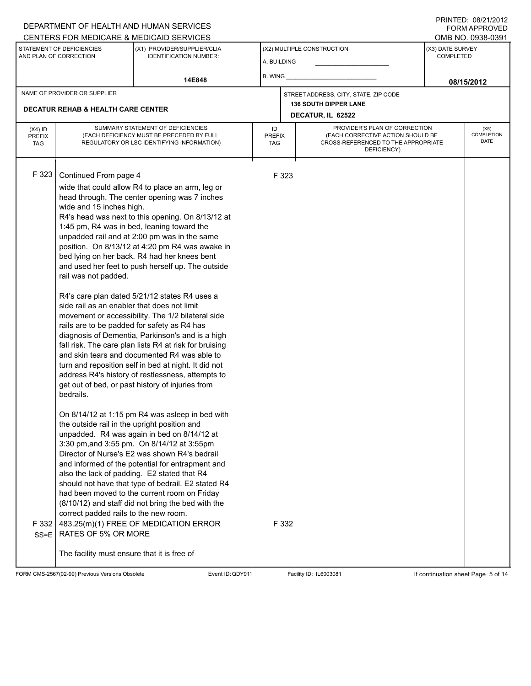#### A. BUILDING (X1) PROVIDER/SUPPLIER/CLIA IDENTIFICATION NUMBER: STATEMENT OF DEFICIENCIES AND PLAN OF CORRECTION (X3) DATE SURVEY COMPLETED FORM APPROVED (X2) MULTIPLE CONSTRUCTION B. WING DEPARTMENT OF HEALTH AND HUMAN SERVICES CENTERS FOR MEDICARE & MEDICAID SERVICES **And CENTERS FOR MEDICAL ACCESS** OMB NO. 0938-0391 **14E848 08/15/2012 DECATUR, IL 62522** NAME OF PROVIDER OR SUPPLIER STREET ADDRESS, CITY, STATE, ZIP CODE **DECATUR REHAB & HEALTH CARE CENTER 136 SOUTH DIPPER LANE** PROVIDER'S PLAN OF CORRECTION (EACH CORRECTIVE ACTION SHOULD BE CROSS-REFERENCED TO THE APPROPRIATE DEFICIENCY) (X5) **COMPLETION** DATE ID PREFIX TAG (X4) ID PREFIX TAG SUMMARY STATEMENT OF DEFICIENCIES (EACH DEFICIENCY MUST BE PRECEDED BY FULL REGULATORY OR LSC IDENTIFYING INFORMATION) F 323 Continued From page 4 F 323 wide that could allow R4 to place an arm, leg or head through. The center opening was 7 inches wide and 15 inches high. R4's head was next to this opening. On 8/13/12 at 1:45 pm, R4 was in bed, leaning toward the unpadded rail and at 2:00 pm was in the same position. On 8/13/12 at 4:20 pm R4 was awake in bed lying on her back. R4 had her knees bent and used her feet to push herself up. The outside rail was not padded. R4's care plan dated 5/21/12 states R4 uses a side rail as an enabler that does not limit movement or accessibility. The 1/2 bilateral side rails are to be padded for safety as R4 has diagnosis of Dementia, Parkinson's and is a high fall risk. The care plan lists R4 at risk for bruising and skin tears and documented R4 was able to turn and reposition self in bed at night. It did not address R4's history of restlessness, attempts to get out of bed, or past history of injuries from bedrails. On 8/14/12 at 1:15 pm R4 was asleep in bed with the outside rail in the upright position and unpadded. R4 was again in bed on 8/14/12 at 3:30 pm,and 3:55 pm. On 8/14/12 at 3:55pm Director of Nurse's E2 was shown R4's bedrail and informed of the potential for entrapment and also the lack of padding. E2 stated that R4 should not have that type of bedrail. E2 stated R4 had been moved to the current room on Friday (8/10/12) and staff did not bring the bed with the correct padded rails to the new room. F 332 SS=E 483.25(m)(1) FREE OF MEDICATION ERROR RATES OF 5% OR MORE The facility must ensure that it is free of F 332

FORM CMS-2567(02-99) Previous Versions Obsolete Event ID:QDY911 Facility ID: IL6003081 If continuation sheet Page 5 of 14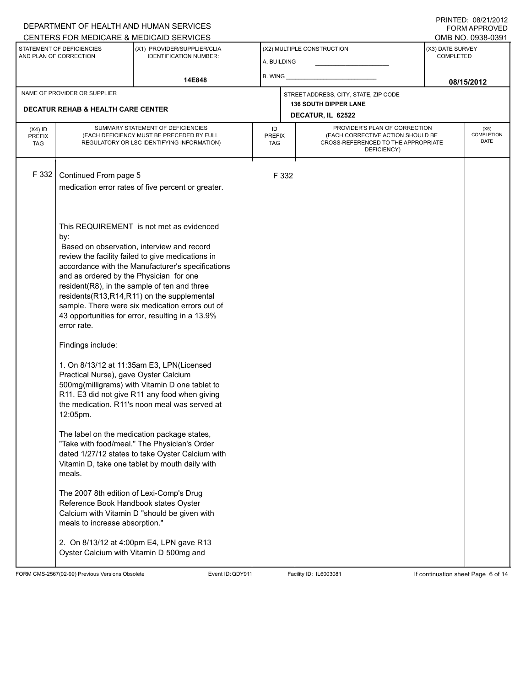|                                                     | DEPARTMENT OF HEALTH AND HUMAN SERVICES<br><b>FORM APPROVED</b>                                                                      |                                                                                                                                                 |                            |                                                   |                                                                                         |                                                    |                   |  |  |  |  |
|-----------------------------------------------------|--------------------------------------------------------------------------------------------------------------------------------------|-------------------------------------------------------------------------------------------------------------------------------------------------|----------------------------|---------------------------------------------------|-----------------------------------------------------------------------------------------|----------------------------------------------------|-------------------|--|--|--|--|
|                                                     |                                                                                                                                      | CENTERS FOR MEDICARE & MEDICAID SERVICES                                                                                                        |                            |                                                   |                                                                                         |                                                    | OMB NO. 0938-0391 |  |  |  |  |
| STATEMENT OF DEFICIENCIES<br>AND PLAN OF CORRECTION |                                                                                                                                      | (X1) PROVIDER/SUPPLIER/CLIA<br><b>IDENTIFICATION NUMBER:</b>                                                                                    | A. BUILDING                |                                                   | (X2) MULTIPLE CONSTRUCTION                                                              | (X3) DATE SURVEY<br><b>COMPLETED</b><br>08/15/2012 |                   |  |  |  |  |
|                                                     |                                                                                                                                      | 14E848                                                                                                                                          | B. WING                    |                                                   |                                                                                         |                                                    |                   |  |  |  |  |
| NAME OF PROVIDER OR SUPPLIER                        |                                                                                                                                      |                                                                                                                                                 |                            |                                                   | STREET ADDRESS, CITY, STATE, ZIP CODE                                                   |                                                    |                   |  |  |  |  |
| <b>DECATUR REHAB &amp; HEALTH CARE CENTER</b>       |                                                                                                                                      |                                                                                                                                                 |                            | <b>136 SOUTH DIPPER LANE</b><br>DECATUR, IL 62522 |                                                                                         |                                                    |                   |  |  |  |  |
|                                                     | SUMMARY STATEMENT OF DEFICIENCIES                                                                                                    |                                                                                                                                                 |                            |                                                   | PROVIDER'S PLAN OF CORRECTION                                                           |                                                    |                   |  |  |  |  |
| $(X4)$ ID<br><b>PREFIX</b><br><b>TAG</b>            | (EACH DEFICIENCY MUST BE PRECEDED BY FULL<br>REGULATORY OR LSC IDENTIFYING INFORMATION)                                              |                                                                                                                                                 | ID<br><b>PREFIX</b><br>TAG |                                                   | (EACH CORRECTIVE ACTION SHOULD BE<br>CROSS-REFERENCED TO THE APPROPRIATE<br>DEFICIENCY) | (X5)<br>COMPLETION<br>DATE                         |                   |  |  |  |  |
| F 332                                               | Continued From page 5                                                                                                                |                                                                                                                                                 |                            | F 332                                             |                                                                                         |                                                    |                   |  |  |  |  |
|                                                     |                                                                                                                                      | medication error rates of five percent or greater.                                                                                              |                            |                                                   |                                                                                         |                                                    |                   |  |  |  |  |
|                                                     |                                                                                                                                      |                                                                                                                                                 |                            |                                                   |                                                                                         |                                                    |                   |  |  |  |  |
|                                                     |                                                                                                                                      |                                                                                                                                                 |                            |                                                   |                                                                                         |                                                    |                   |  |  |  |  |
|                                                     | This REQUIREMENT is not met as evidenced<br>by:                                                                                      |                                                                                                                                                 |                            |                                                   |                                                                                         |                                                    |                   |  |  |  |  |
|                                                     | Based on observation, interview and record                                                                                           |                                                                                                                                                 |                            |                                                   |                                                                                         |                                                    |                   |  |  |  |  |
|                                                     | review the facility failed to give medications in<br>accordance with the Manufacturer's specifications                               |                                                                                                                                                 |                            |                                                   |                                                                                         |                                                    |                   |  |  |  |  |
|                                                     | and as ordered by the Physician for one                                                                                              |                                                                                                                                                 |                            |                                                   |                                                                                         |                                                    |                   |  |  |  |  |
|                                                     | resident(R8), in the sample of ten and three                                                                                         |                                                                                                                                                 |                            |                                                   |                                                                                         |                                                    |                   |  |  |  |  |
|                                                     | residents(R13,R14,R11) on the supplemental<br>sample. There were six medication errors out of                                        |                                                                                                                                                 |                            |                                                   |                                                                                         |                                                    |                   |  |  |  |  |
|                                                     | 43 opportunities for error, resulting in a 13.9%                                                                                     |                                                                                                                                                 |                            |                                                   |                                                                                         |                                                    |                   |  |  |  |  |
|                                                     | error rate.                                                                                                                          |                                                                                                                                                 |                            |                                                   |                                                                                         |                                                    |                   |  |  |  |  |
|                                                     | Findings include:                                                                                                                    |                                                                                                                                                 |                            |                                                   |                                                                                         |                                                    |                   |  |  |  |  |
|                                                     | 1. On 8/13/12 at 11:35am E3, LPN(Licensed<br>Practical Nurse), gave Oyster Calcium<br>500mg(milligrams) with Vitamin D one tablet to |                                                                                                                                                 |                            |                                                   |                                                                                         |                                                    |                   |  |  |  |  |
|                                                     |                                                                                                                                      |                                                                                                                                                 |                            |                                                   |                                                                                         |                                                    |                   |  |  |  |  |
|                                                     |                                                                                                                                      | R11. E3 did not give R11 any food when giving                                                                                                   |                            |                                                   |                                                                                         |                                                    |                   |  |  |  |  |
|                                                     | 12:05pm.                                                                                                                             | the medication. R11's noon meal was served at                                                                                                   |                            |                                                   |                                                                                         |                                                    |                   |  |  |  |  |
|                                                     |                                                                                                                                      | The label on the medication package states,<br>"Take with food/meal." The Physician's Order<br>dated 1/27/12 states to take Oyster Calcium with |                            |                                                   |                                                                                         |                                                    |                   |  |  |  |  |
|                                                     | meals.                                                                                                                               | Vitamin D, take one tablet by mouth daily with                                                                                                  |                            |                                                   |                                                                                         |                                                    |                   |  |  |  |  |
|                                                     | The 2007 8th edition of Lexi-Comp's Drug<br>Reference Book Handbook states Oyster<br>meals to increase absorption."                  | Calcium with Vitamin D "should be given with                                                                                                    |                            |                                                   |                                                                                         |                                                    |                   |  |  |  |  |
|                                                     |                                                                                                                                      | 2. On 8/13/12 at 4:00pm E4, LPN gave R13<br>Oyster Calcium with Vitamin D 500mg and                                                             |                            |                                                   |                                                                                         |                                                    |                   |  |  |  |  |

FORM CMS-2567(02-99) Previous Versions Obsolete Event ID: QDY911 Facility ID: IL6003081 If continuation sheet Page 6 of 14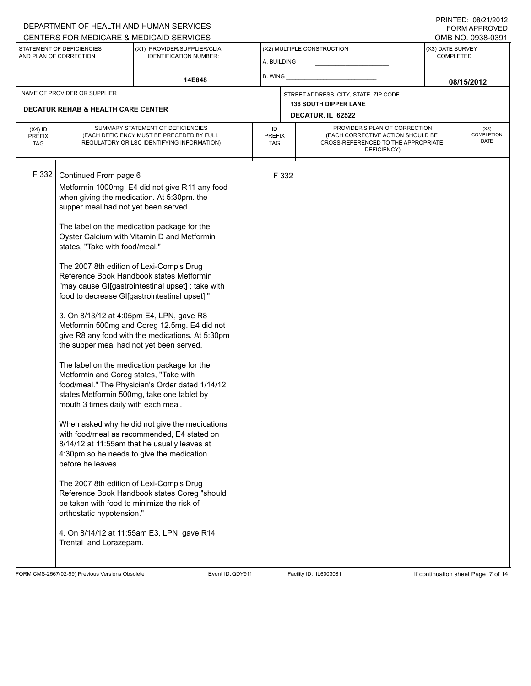## A. BUILDING (X1) PROVIDER/SUPPLIER/CLIA IDENTIFICATION NUMBER: STATEMENT OF DEFICIENCIES AND PLAN OF CORRECTION (X3) DATE SURVEY COMPLETED FORM APPROVED (X2) MULTIPLE CONSTRUCTION B. WING DEPARTMENT OF HEALTH AND HUMAN SERVICES CENTERS FOR MEDICARE & MEDICAID SERVICES **And CENTERS FOR MEDICAL ACCESS** OMB NO. 0938-0391 **14E848 08/15/2012 DECATUR, IL 62522** NAME OF PROVIDER OR SUPPLIER STREET ADDRESS, CITY, STATE, ZIP CODE **DECATUR REHAB & HEALTH CARE CENTER 136 SOUTH DIPPER LANE** PROVIDER'S PLAN OF CORRECTION (EACH CORRECTIVE ACTION SHOULD BE CROSS-REFERENCED TO THE APPROPRIATE DEFICIENCY) (X5) **COMPLETION** DATE ID PREFIX TAG (X4) ID PREFIX TAG SUMMARY STATEMENT OF DEFICIENCIES (EACH DEFICIENCY MUST BE PRECEDED BY FULL REGULATORY OR LSC IDENTIFYING INFORMATION) F 332 Continued From page 6 F 332 Metformin 1000mg. E4 did not give R11 any food when giving the medication. At 5:30pm. the supper meal had not yet been served. The label on the medication package for the Oyster Calcium with Vitamin D and Metformin states, "Take with food/meal." The 2007 8th edition of Lexi-Comp's Drug Reference Book Handbook states Metformin "may cause GI[gastrointestinal upset] ; take with food to decrease GI[gastrointestinal upset]." 3. On 8/13/12 at 4:05pm E4, LPN, gave R8 Metformin 500mg and Coreg 12.5mg. E4 did not give R8 any food with the medications. At 5:30pm the supper meal had not yet been served. The label on the medication package for the Metformin and Coreg states, "Take with food/meal." The Physician's Order dated 1/14/12 states Metformin 500mg, take one tablet by mouth 3 times daily with each meal. When asked why he did not give the medications with food/meal as recommended, E4 stated on 8/14/12 at 11:55am that he usually leaves at 4:30pm so he needs to give the medication before he leaves. The 2007 8th edition of Lexi-Comp's Drug Reference Book Handbook states Coreg "should be taken with food to minimize the risk of orthostatic hypotension." 4. On 8/14/12 at 11:55am E3, LPN, gave R14 Trental and Lorazepam.

FORM CMS-2567(02-99) Previous Versions Obsolete Event ID:QDY911 Facility ID: IL6003081 If continuation sheet Page 7 of 14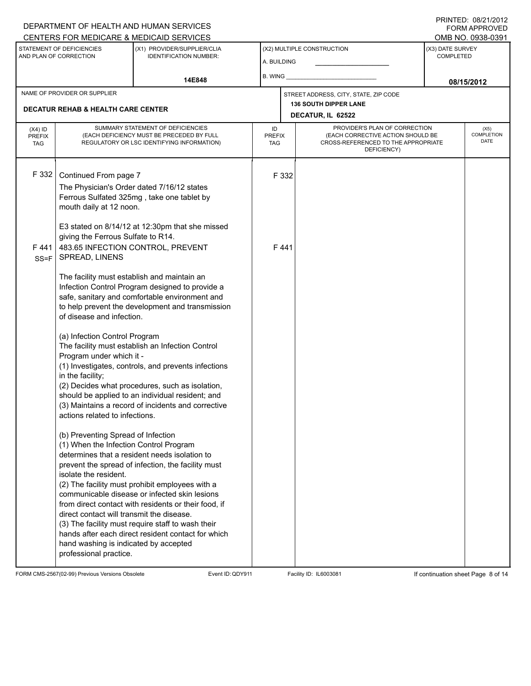#### A. BUILDING (X1) PROVIDER/SUPPLIER/CLIA IDENTIFICATION NUMBER: STATEMENT OF DEFICIENCIES AND PLAN OF CORRECTION (X3) DATE SURVEY COMPLETED FORM APPROVED (X2) MULTIPLE CONSTRUCTION B. WING CENTERS FOR MEDICARE & MEDICAID SERVICES **And CENTERS FOR MEDICAL ACCESS** OMB NO. 0938-0391 14E848 **14E848 14E848 14E848 14E848 14E848 14E848 08/15/2012 DECATUR, IL 62522** NAME OF PROVIDER OR SUPPLIER STREET ADDRESS, CITY, STATE, ZIP CODE **DECATUR REHAB & HEALTH CARE CENTER 136 SOUTH DIPPER LANE** PROVIDER'S PLAN OF CORRECTION (EACH CORRECTIVE ACTION SHOULD BE CROSS-REFERENCED TO THE APPROPRIATE DEFICIENCY) (X5) **COMPLETION** DATE ID PREFIX TAG (X4) ID PREFIX TAG SUMMARY STATEMENT OF DEFICIENCIES (EACH DEFICIENCY MUST BE PRECEDED BY FULL REGULATORY OR LSC IDENTIFYING INFORMATION) F 332 Continued From page 7 F 332 The Physician's Order dated 7/16/12 states Ferrous Sulfated 325mg , take one tablet by mouth daily at 12 noon. E3 stated on 8/14/12 at 12:30pm that she missed giving the Ferrous Sulfate to R14. F 441 SS=F 483.65 INFECTION CONTROL, PREVENT SPREAD, LINENS The facility must establish and maintain an Infection Control Program designed to provide a safe, sanitary and comfortable environment and to help prevent the development and transmission of disease and infection. (a) Infection Control Program The facility must establish an Infection Control Program under which it - (1) Investigates, controls, and prevents infections in the facility; (2) Decides what procedures, such as isolation, should be applied to an individual resident; and (3) Maintains a record of incidents and corrective actions related to infections. (b) Preventing Spread of Infection (1) When the Infection Control Program determines that a resident needs isolation to prevent the spread of infection, the facility must isolate the resident. (2) The facility must prohibit employees with a communicable disease or infected skin lesions from direct contact with residents or their food, if direct contact will transmit the disease. (3) The facility must require staff to wash their hands after each direct resident contact for which hand washing is indicated by accepted professional practice. F 441

FORM CMS-2567(02-99) Previous Versions Obsolete 
Event ID: QDY911 Facility ID: IL6003081 If continuation sheet Page 8 of 14

DEPARTMENT OF HEALTH AND HUMAN SERVICES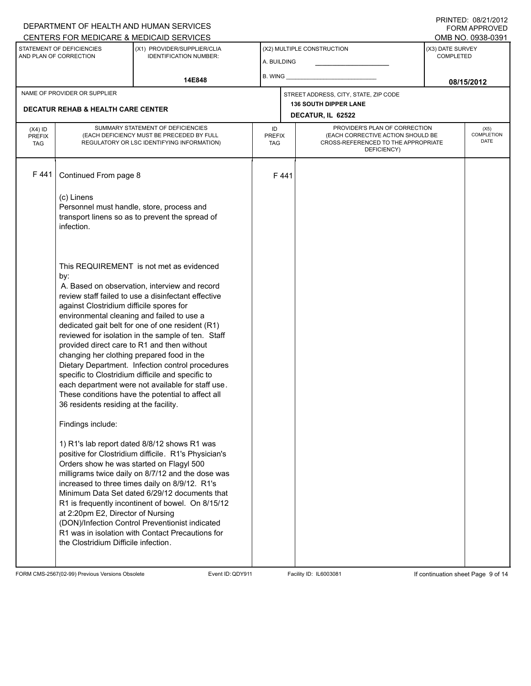## A. BUILDING (X1) PROVIDER/SUPPLIER/CLIA IDENTIFICATION NUMBER: STATEMENT OF DEFICIENCIES AND PLAN OF CORRECTION (X3) DATE SURVEY COMPLETED FORM APPROVED (X2) MULTIPLE CONSTRUCTION B. WING CENTERS FOR MEDICARE & MEDICAID SERVICES **And CENTERS FOR MEDICAL ACCESS** OMB NO. 0938-0391 **14E848 08/15/2012 DECATUR, IL 62522** NAME OF PROVIDER OR SUPPLIER STREET ADDRESS, CITY, STATE, ZIP CODE **DECATUR REHAB & HEALTH CARE CENTER 136 SOUTH DIPPER LANE** PROVIDER'S PLAN OF CORRECTION (EACH CORRECTIVE ACTION SHOULD BE CROSS-REFERENCED TO THE APPROPRIATE DEFICIENCY) (X5) **COMPLETION** DATE ID PREFIX TAG (X4) ID PREFIX TAG SUMMARY STATEMENT OF DEFICIENCIES (EACH DEFICIENCY MUST BE PRECEDED BY FULL REGULATORY OR LSC IDENTIFYING INFORMATION) F 441 Continued From page 8 F 441 (c) Linens Personnel must handle, store, process and transport linens so as to prevent the spread of infection. This REQUIREMENT is not met as evidenced by: A. Based on observation, interview and record review staff failed to use a disinfectant effective against Clostridium difficile spores for environmental cleaning and failed to use a dedicated gait belt for one of one resident (R1) reviewed for isolation in the sample of ten. Staff provided direct care to R1 and then without changing her clothing prepared food in the Dietary Department. Infection control procedures specific to Clostridium difficile and specific to each department were not available for staff use. These conditions have the potential to affect all 36 residents residing at the facility. Findings include: 1) R1's lab report dated 8/8/12 shows R1 was positive for Clostridium difficile. R1's Physician's Orders show he was started on Flagyl 500 milligrams twice daily on 8/7/12 and the dose was increased to three times daily on 8/9/12. R1's Minimum Data Set dated 6/29/12 documents that R1 is frequently incontinent of bowel. On 8/15/12 at 2:20pm E2, Director of Nursing (DON)/Infection Control Preventionist indicated R1 was in isolation with Contact Precautions for the Clostridium Difficile infection.

FORM CMS-2567(02-99) Previous Versions Obsolete Event ID:QDY911 Facility ID: IL6003081 If continuation sheet Page 9 of 14

DEPARTMENT OF HEALTH AND HUMAN SERVICES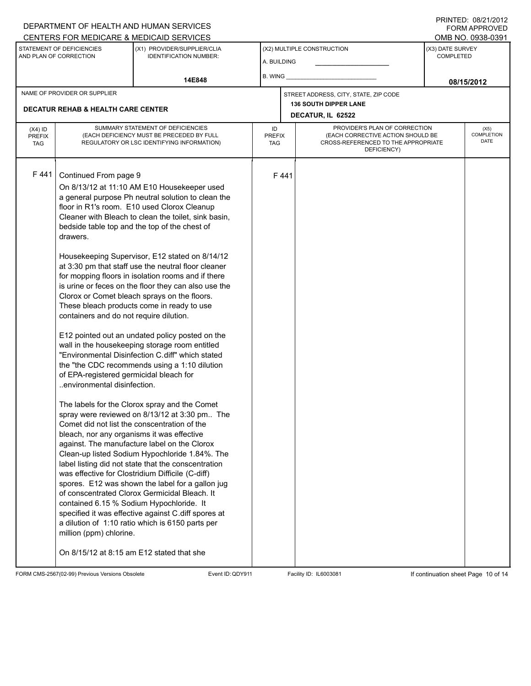### A. BUILDING (X1) PROVIDER/SUPPLIER/CLIA IDENTIFICATION NUMBER: STATEMENT OF DEFICIENCIES AND PLAN OF CORRECTION (X3) DATE SURVEY COMPLETED FORM APPROVED (X2) MULTIPLE CONSTRUCTION B. WING CENTERS FOR MEDICARE & MEDICAID SERVICES **And CENTERS FOR MEDICAL ACCESS** OMB NO. 0938-0391 14E848 **14E848 14E848 14E848 14E848 14E848 14E848 08/15/2012 DECATUR, IL 62522** NAME OF PROVIDER OR SUPPLIER STREET ADDRESS, CITY, STATE, ZIP CODE **DECATUR REHAB & HEALTH CARE CENTER 136 SOUTH DIPPER LANE** PROVIDER'S PLAN OF CORRECTION (EACH CORRECTIVE ACTION SHOULD BE CROSS-REFERENCED TO THE APPROPRIATE DEFICIENCY) (X5) **COMPLETION** DATE ID PREFIX TAG (X4) ID PREFIX TAG SUMMARY STATEMENT OF DEFICIENCIES (EACH DEFICIENCY MUST BE PRECEDED BY FULL REGULATORY OR LSC IDENTIFYING INFORMATION) F 441 Continued From page 9 F 441 On 8/13/12 at 11:10 AM E10 Housekeeper used a general purpose Ph neutral solution to clean the floor in R1's room. E10 used Clorox Cleanup Cleaner with Bleach to clean the toilet, sink basin, bedside table top and the top of the chest of drawers. Housekeeping Supervisor, E12 stated on 8/14/12 at 3:30 pm that staff use the neutral floor cleaner for mopping floors in isolation rooms and if there is urine or feces on the floor they can also use the Clorox or Comet bleach sprays on the floors. These bleach products come in ready to use containers and do not require dilution. E12 pointed out an undated policy posted on the wall in the housekeeping storage room entitled "Environmental Disinfection C.diff" which stated the "the CDC recommends using a 1:10 dilution of EPA-registered germicidal bleach for ..environmental disinfection. The labels for the Clorox spray and the Comet spray were reviewed on 8/13/12 at 3:30 pm.. The Comet did not list the conscentration of the bleach, nor any organisms it was effective against. The manufacture label on the Clorox Clean-up listed Sodium Hypochloride 1.84%. The label listing did not state that the conscentration was effective for Clostridium Difficile (C-diff) spores. E12 was shown the label for a gallon jug of conscentrated Clorox Germicidal Bleach. It contained 6.15 % Sodium Hypochloride. It specified it was effective against C.diff spores at a dilution of 1:10 ratio which is 6150 parts per million (ppm) chlorine. On 8/15/12 at 8:15 am E12 stated that she

FORM CMS-2567(02-99) Previous Versions Obsolete Event ID:QDY911 Facility ID: IL6003081 If continuation sheet Page 10 of 14

DEPARTMENT OF HEALTH AND HUMAN SERVICES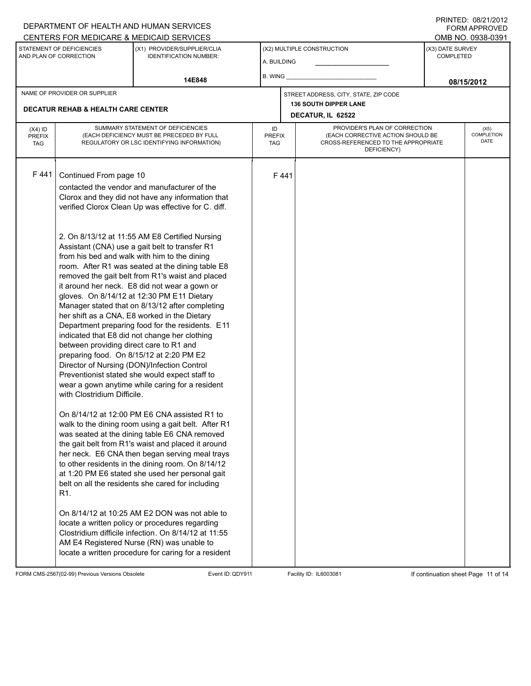### A. BUILDING (X1) PROVIDER/SUPPLIER/CLIA IDENTIFICATION NUMBER: STATEMENT OF DEFICIENCIES AND PLAN OF CORRECTION (X3) DATE SURVEY COMPLETED FORM APPROVED (X2) MULTIPLE CONSTRUCTION B. WING CENTERS FOR MEDICARE & MEDICAID SERVICES **And CENTERS FOR MEDICAL ACCESS** OMB NO. 0938-0391 14E848 **14E848 14E848 14E848 14E848 14E848 14E848 08/15/2012 DECATUR, IL 62522** NAME OF PROVIDER OR SUPPLIER STREET ADDRESS, CITY, STATE, ZIP CODE **DECATUR REHAB & HEALTH CARE CENTER 136 SOUTH DIPPER LANE** PROVIDER'S PLAN OF CORRECTION (EACH CORRECTIVE ACTION SHOULD BE CROSS-REFERENCED TO THE APPROPRIATE DEFICIENCY) (X5) **COMPLETION** DATE ID PREFIX TAG (X4) ID PREFIX TAG SUMMARY STATEMENT OF DEFICIENCIES (EACH DEFICIENCY MUST BE PRECEDED BY FULL REGULATORY OR LSC IDENTIFYING INFORMATION) F 441 Continued From page 10 F 441 contacted the vendor and manufacturer of the Clorox and they did not have any information that verified Clorox Clean Up was effective for C. diff. 2. On 8/13/12 at 11:55 AM E8 Certified Nursing Assistant (CNA) use a gait belt to transfer R1 from his bed and walk with him to the dining room. After R1 was seated at the dining table E8 removed the gait belt from R1's waist and placed it around her neck. E8 did not wear a gown or gloves. On 8/14/12 at 12:30 PM E11 Dietary Manager stated that on 8/13/12 after completing her shift as a CNA, E8 worked in the Dietary Department preparing food for the residents. E11 indicated that E8 did not change her clothing between providing direct care to R1 and preparing food. On 8/15/12 at 2:20 PM E2 Director of Nursing (DON)/Infection Control Preventionist stated she would expect staff to wear a gown anytime while caring for a resident with Clostridium Difficile. On 8/14/12 at 12:00 PM E6 CNA assisted R1 to walk to the dining room using a gait belt. After R1 was seated at the dining table E6 CNA removed the gait belt from R1's waist and placed it around her neck. E6 CNA then began serving meal trays to other residents in the dining room. On 8/14/12 at 1:20 PM E6 stated she used her personal gait belt on all the residents she cared for including R1. On 8/14/12 at 10:25 AM E2 DON was not able to locate a written policy or procedures regarding Clostridium difficile infection. On 8/14/12 at 11:55 AM E4 Registered Nurse (RN) was unable to locate a written procedure for caring for a resident

FORM CMS-2567(02-99) Previous Versions Obsolete Event ID:QDY911 Facility ID: IL6003081 If continuation sheet Page 11 of 14

DEPARTMENT OF HEALTH AND HUMAN SERVICES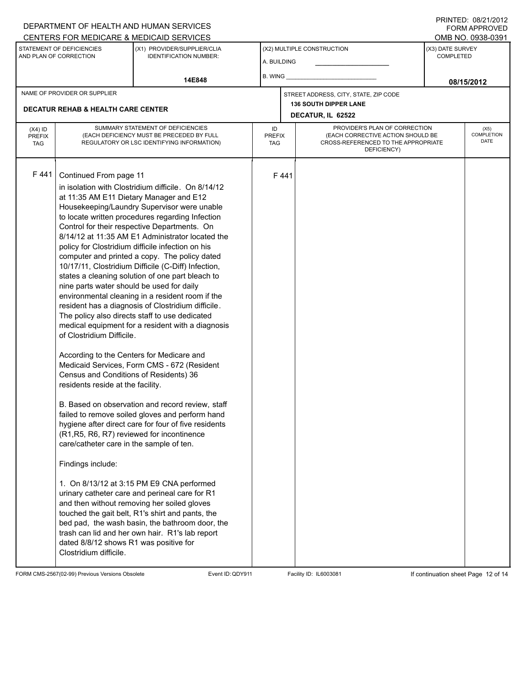### A. BUILDING (X1) PROVIDER/SUPPLIER/CLIA IDENTIFICATION NUMBER: STATEMENT OF DEFICIENCIES AND PLAN OF CORRECTION (X3) DATE SURVEY COMPLETED FORM APPROVED (X2) MULTIPLE CONSTRUCTION B. WING CENTERS FOR MEDICARE & MEDICAID SERVICES **And CENTERS FOR MEDICAL ACCESS** OMB NO. 0938-0391 14E848 **14E848 14E848 14E848 14E848 14E848 14E848 08/15/2012 DECATUR, IL 62522** NAME OF PROVIDER OR SUPPLIER STREET ADDRESS, CITY, STATE, ZIP CODE **DECATUR REHAB & HEALTH CARE CENTER 136 SOUTH DIPPER LANE** PROVIDER'S PLAN OF CORRECTION (EACH CORRECTIVE ACTION SHOULD BE CROSS-REFERENCED TO THE APPROPRIATE DEFICIENCY) (X5) **COMPLETION** DATE ID PREFIX TAG (X4) ID PREFIX TAG SUMMARY STATEMENT OF DEFICIENCIES (EACH DEFICIENCY MUST BE PRECEDED BY FULL REGULATORY OR LSC IDENTIFYING INFORMATION) F 441 Continued From page 11 F 441 in isolation with Clostridium difficile. On 8/14/12 at 11:35 AM E11 Dietary Manager and E12 Housekeeping/Laundry Supervisor were unable to locate written procedures regarding Infection Control for their respective Departments. On 8/14/12 at 11:35 AM E1 Administrator located the policy for Clostridium difficile infection on his computer and printed a copy. The policy dated 10/17/11, Clostridium Difficile (C-Diff) Infection, states a cleaning solution of one part bleach to nine parts water should be used for daily environmental cleaning in a resident room if the resident has a diagnosis of Clostridium difficile. The policy also directs staff to use dedicated medical equipment for a resident with a diagnosis of Clostridium Difficile. According to the Centers for Medicare and Medicaid Services, Form CMS - 672 (Resident Census and Conditions of Residents) 36 residents reside at the facility. B. Based on observation and record review, staff failed to remove soiled gloves and perform hand hygiene after direct care for four of five residents (R1,R5, R6, R7) reviewed for incontinence care/catheter care in the sample of ten. Findings include: 1. On 8/13/12 at 3:15 PM E9 CNA performed urinary catheter care and perineal care for R1 and then without removing her soiled gloves touched the gait belt, R1's shirt and pants, the bed pad, the wash basin, the bathroom door, the trash can lid and her own hair. R1's lab report dated 8/8/12 shows R1 was positive for Clostridium difficile.

FORM CMS-2567(02-99) Previous Versions Obsolete Event ID:QDY911 Facility ID: IL6003081 If continuation sheet Page 12 of 14

DEPARTMENT OF HEALTH AND HUMAN SERVICES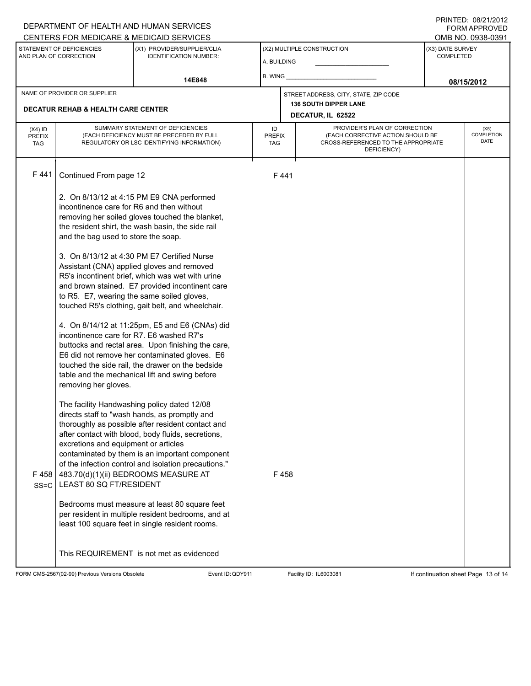### A. BUILDING (X1) PROVIDER/SUPPLIER/CLIA IDENTIFICATION NUMBER: STATEMENT OF DEFICIENCIES AND PLAN OF CORRECTION (X3) DATE SURVEY COMPLETED FORM APPROVED (X2) MULTIPLE CONSTRUCTION B. WING CENTERS FOR MEDICARE & MEDICAID SERVICES OMB NO. 0938-0391 14E848 **14E848 14E848 14E848 14E848 14E848 14E848 08/15/2012 DECATUR, IL 62522** NAME OF PROVIDER OR SUPPLIER STREET ADDRESS, CITY, STATE, ZIP CODE **DECATUR REHAB & HEALTH CARE CENTER 136 SOUTH DIPPER LANE** PROVIDER'S PLAN OF CORRECTION (EACH CORRECTIVE ACTION SHOULD BE CROSS-REFERENCED TO THE APPROPRIATE DEFICIENCY) (X5) **COMPLETION** DATE ID PREFIX TAG (X4) ID PREFIX TAG SUMMARY STATEMENT OF DEFICIENCIES (EACH DEFICIENCY MUST BE PRECEDED BY FULL REGULATORY OR LSC IDENTIFYING INFORMATION) F 441 Continued From page 12 F 441 2. On 8/13/12 at 4:15 PM E9 CNA performed incontinence care for R6 and then without removing her soiled gloves touched the blanket, the resident shirt, the wash basin, the side rail and the bag used to store the soap. 3. On 8/13/12 at 4:30 PM E7 Certified Nurse Assistant (CNA) applied gloves and removed R5's incontinent brief, which was wet with urine and brown stained. E7 provided incontinent care to R5. E7, wearing the same soiled gloves, touched R5's clothing, gait belt, and wheelchair. 4. On 8/14/12 at 11:25pm, E5 and E6 (CNAs) did incontinence care for R7. E6 washed R7's buttocks and rectal area. Upon finishing the care, E6 did not remove her contaminated gloves. E6 touched the side rail, the drawer on the bedside table and the mechanical lift and swing before removing her gloves. The facility Handwashing policy dated 12/08 directs staff to "wash hands, as promptly and thoroughly as possible after resident contact and after contact with blood, body fluids, secretions, excretions and equipment or articles contaminated by them is an important component of the infection control and isolation precautions." F 458 SS=C 483.70(d)(1)(ii) BEDROOMS MEASURE AT LEAST 80 SQ FT/RESIDENT Bedrooms must measure at least 80 square feet per resident in multiple resident bedrooms, and at least 100 square feet in single resident rooms. This REQUIREMENT is not met as evidenced F 458

FORM CMS-2567(02-99) Previous Versions Obsolete Event ID:QDY911 Facility ID: IL6003081 If continuation sheet Page 13 of 14

DEPARTMENT OF HEALTH AND HUMAN SERVICES